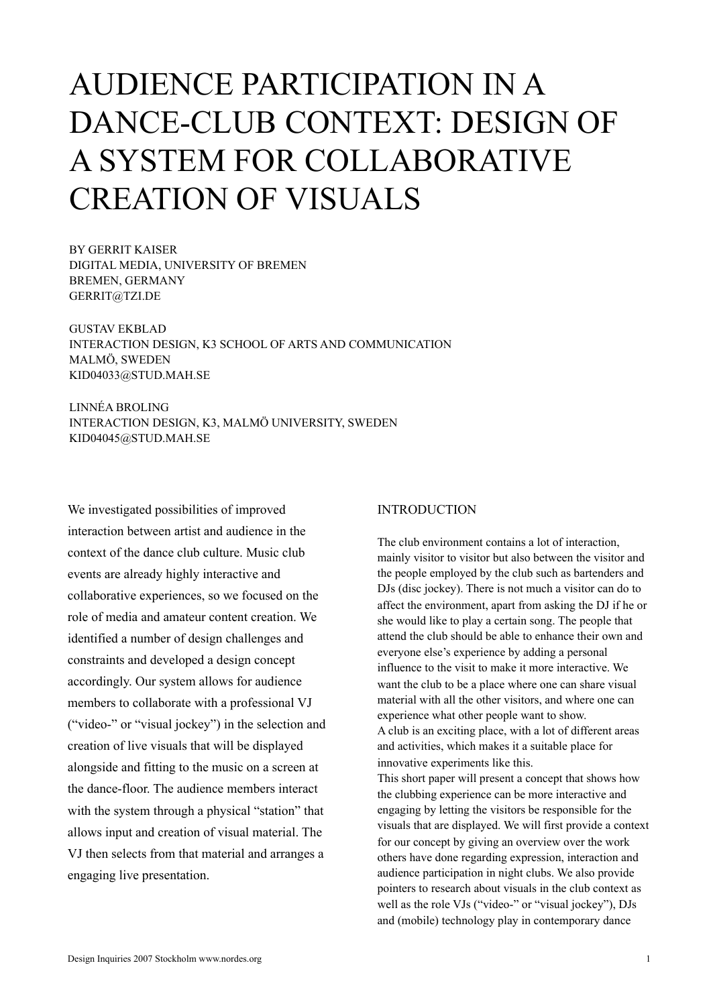# AUDIENCE PARTICIPATION IN A DANCE-CLUB CONTEXT: DESIGN OF A SYSTEM FOR COLLABORATIVE CREATION OF VISUALS

BY GERRIT KAISER DIGITAL MEDIA, UNIVERSITY OF BREMEN BREMEN, GERMANY GERRIT@TZI.DE

GUSTAV EKBLAD INTERACTION DESIGN, K3 SCHOOL OF ARTS AND COMMUNICATION MALMÖ, SWEDEN KID04033@STUD.MAH.SE

LINNÉA BROLING INTERACTION DESIGN, K3, MALMÖ UNIVERSITY, SWEDEN KID04045@STUD.MAH.SE

We investigated possibilities of improved interaction between artist and audience in the context of the dance club culture. Music club events are already highly interactive and collaborative experiences, so we focused on the role of media and amateur content creation. We identified a number of design challenges and constraints and developed a design concept accordingly. Our system allows for audience members to collaborate with a professional VJ ("video-" or "visual jockey") in the selection and creation of live visuals that will be displayed alongside and fitting to the music on a screen at the dance-floor. The audience members interact with the system through a physical "station" that allows input and creation of visual material. The VJ then selects from that material and arranges a engaging live presentation.

# INTRODUCTION

The club environment contains a lot of interaction, mainly visitor to visitor but also between the visitor and the people employed by the club such as bartenders and DJs (disc jockey). There is not much a visitor can do to affect the environment, apart from asking the DJ if he or she would like to play a certain song. The people that attend the club should be able to enhance their own and everyone else's experience by adding a personal influence to the visit to make it more interactive. We want the club to be a place where one can share visual material with all the other visitors, and where one can experience what other people want to show. A club is an exciting place, with a lot of different areas and activities, which makes it a suitable place for innovative experiments like this. This short paper will present a concept that shows how

the clubbing experience can be more interactive and engaging by letting the visitors be responsible for the visuals that are displayed. We will first provide a context for our concept by giving an overview over the work others have done regarding expression, interaction and audience participation in night clubs. We also provide pointers to research about visuals in the club context as well as the role VJs ("video-" or "visual jockey"), DJs and (mobile) technology play in contemporary dance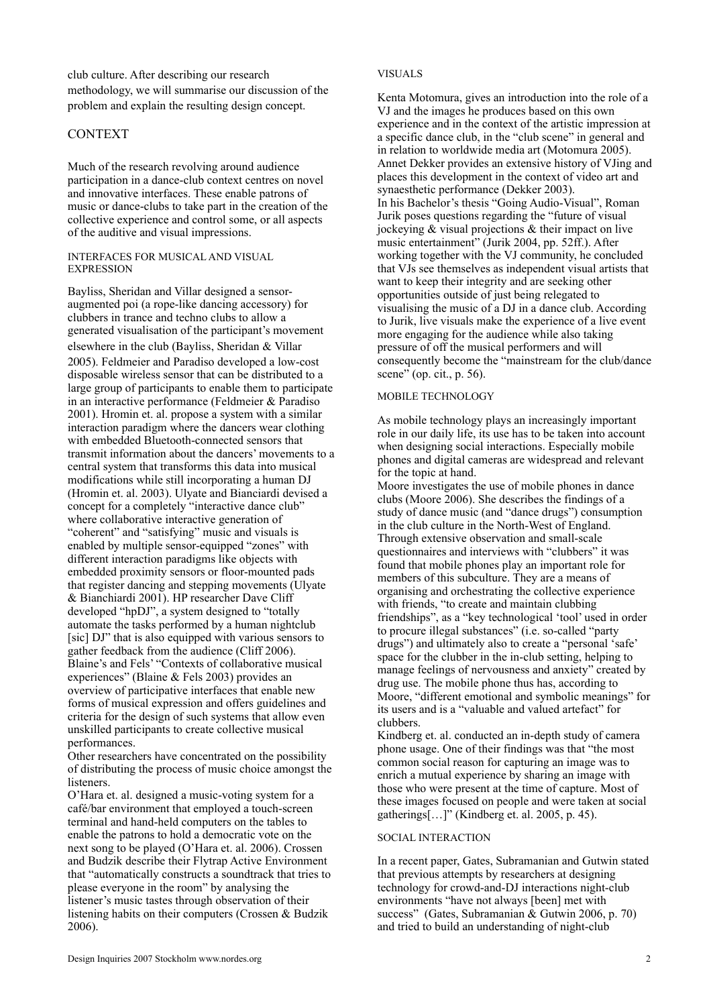club culture. After describing our research methodology, we will summarise our discussion of the problem and explain the resulting design concept.

# CONTEXT

Much of the research revolving around audience participation in a dance-club context centres on novel and innovative interfaces. These enable patrons of music or dance-clubs to take part in the creation of the collective experience and control some, or all aspects of the auditive and visual impressions.

#### INTERFACES FOR MUSICAL AND VISUAL EXPRESSION

Bayliss, Sheridan and Villar designed a sensoraugmented poi (a rope-like dancing accessory) for clubbers in trance and techno clubs to allow a generated visualisation of the participant's movement elsewhere in the club (Bayliss, Sheridan & Villar 2005). Feldmeier and Paradiso developed a low-cost disposable wireless sensor that can be distributed to a large group of participants to enable them to participate in an interactive performance (Feldmeier & Paradiso 2001). Hromin et. al. propose a system with a similar interaction paradigm where the dancers wear clothing with embedded Bluetooth-connected sensors that transmit information about the dancers' movements to a central system that transforms this data into musical modifications while still incorporating a human DJ (Hromin et. al. 2003). Ulyate and Bianciardi devised a concept for a completely "interactive dance club" where collaborative interactive generation of "coherent" and "satisfying" music and visuals is enabled by multiple sensor-equipped "zones" with different interaction paradigms like objects with embedded proximity sensors or floor-mounted pads that register dancing and stepping movements (Ulyate & Bianchiardi 2001). HP researcher Dave Cliff developed "hpDJ", a system designed to "totally automate the tasks performed by a human nightclub [sic] DJ" that is also equipped with various sensors to gather feedback from the audience (Cliff 2006). Blaine's and Fels' "Contexts of collaborative musical experiences" (Blaine & Fels 2003) provides an overview of participative interfaces that enable new forms of musical expression and offers guidelines and criteria for the design of such systems that allow even unskilled participants to create collective musical performances.

Other researchers have concentrated on the possibility of distributing the process of music choice amongst the **listeners** 

O'Hara et. al. designed a music-voting system for a café/bar environment that employed a touch-screen terminal and hand-held computers on the tables to enable the patrons to hold a democratic vote on the next song to be played (O'Hara et. al. 2006). Crossen and Budzik describe their Flytrap Active Environment that "automatically constructs a soundtrack that tries to please everyone in the room" by analysing the listener's music tastes through observation of their listening habits on their computers (Crossen & Budzik 2006).

## VISUALS

Kenta Motomura, gives an introduction into the role of a VJ and the images he produces based on this own experience and in the context of the artistic impression at a specific dance club, in the "club scene" in general and in relation to worldwide media art (Motomura 2005). Annet Dekker provides an extensive history of VJing and places this development in the context of video art and synaesthetic performance (Dekker 2003). In his Bachelor's thesis "Going Audio-Visual", Roman Jurik poses questions regarding the "future of visual jockeying  $\&$  visual projections  $&$  their impact on live music entertainment" (Jurik 2004, pp. 52ff.). After working together with the VJ community, he concluded that VJs see themselves as independent visual artists that want to keep their integrity and are seeking other opportunities outside of just being relegated to visualising the music of a DJ in a dance club. According to Jurik, live visuals make the experience of a live event more engaging for the audience while also taking pressure of off the musical performers and will consequently become the "mainstream for the club/dance scene" (op. cit., p. 56).

## MOBILE TECHNOLOGY

As mobile technology plays an increasingly important role in our daily life, its use has to be taken into account when designing social interactions. Especially mobile phones and digital cameras are widespread and relevant for the topic at hand.

Moore investigates the use of mobile phones in dance clubs (Moore 2006). She describes the findings of a study of dance music (and "dance drugs") consumption in the club culture in the North-West of England. Through extensive observation and small-scale questionnaires and interviews with "clubbers" it was found that mobile phones play an important role for members of this subculture. They are a means of organising and orchestrating the collective experience with friends, "to create and maintain clubbing friendships", as a "key technological 'tool' used in order to procure illegal substances" (i.e. so-called "party drugs") and ultimately also to create a "personal 'safe' space for the clubber in the in-club setting, helping to manage feelings of nervousness and anxiety" created by drug use. The mobile phone thus has, according to Moore, "different emotional and symbolic meanings" for its users and is a "valuable and valued artefact" for clubbers.

Kindberg et. al. conducted an in-depth study of camera phone usage. One of their findings was that "the most common social reason for capturing an image was to enrich a mutual experience by sharing an image with those who were present at the time of capture. Most of these images focused on people and were taken at social gatherings[…]" (Kindberg et. al. 2005, p. 45).

## SOCIAL INTERACTION

In a recent paper, Gates, Subramanian and Gutwin stated that previous attempts by researchers at designing technology for crowd-and-DJ interactions night-club environments "have not always [been] met with success" (Gates, Subramanian & Gutwin 2006, p. 70) and tried to build an understanding of night-club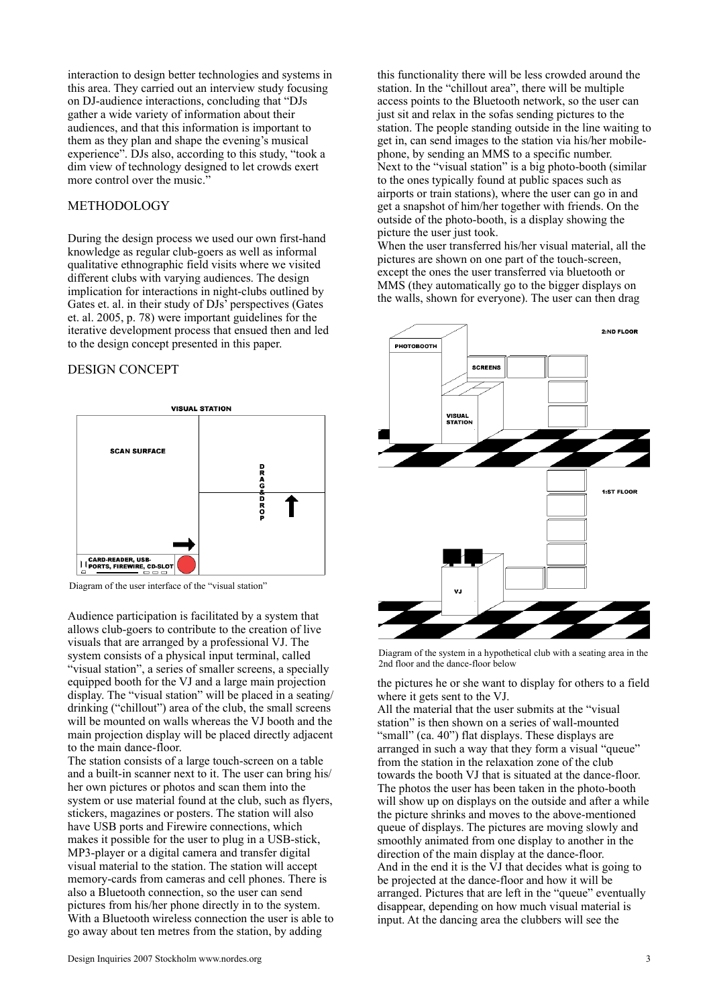interaction to design better technologies and systems in this area. They carried out an interview study focusing on DJ-audience interactions, concluding that "DJs gather a wide variety of information about their audiences, and that this information is important to them as they plan and shape the evening's musical experience". DJs also, according to this study, "took a dim view of technology designed to let crowds exert more control over the music."

# **METHODOLOGY**

During the design process we used our own first-hand knowledge as regular club-goers as well as informal qualitative ethnographic field visits where we visited different clubs with varying audiences. The design implication for interactions in night-clubs outlined by Gates et. al. in their study of DJs' perspectives (Gates et. al. 2005, p. 78) were important guidelines for the iterative development process that ensued then and led to the design concept presented in this paper.

#### DESIGN CONCEPT



Diagram of the user interface of the "visual station"

Audience participation is facilitated by a system that allows club-goers to contribute to the creation of live visuals that are arranged by a professional VJ. The system consists of a physical input terminal, called "visual station", a series of smaller screens, a specially equipped booth for the VJ and a large main projection display. The "visual station" will be placed in a seating/ drinking ("chillout") area of the club, the small screens will be mounted on walls whereas the VJ booth and the main projection display will be placed directly adjacent to the main dance-floor.

The station consists of a large touch-screen on a table and a built-in scanner next to it. The user can bring his/ her own pictures or photos and scan them into the system or use material found at the club, such as flyers, stickers, magazines or posters. The station will also have USB ports and Firewire connections, which makes it possible for the user to plug in a USB-stick, MP3-player or a digital camera and transfer digital visual material to the station. The station will accept memory-cards from cameras and cell phones. There is also a Bluetooth connection, so the user can send pictures from his/her phone directly in to the system. With a Bluetooth wireless connection the user is able to go away about ten metres from the station, by adding

this functionality there will be less crowded around the station. In the "chillout area", there will be multiple access points to the Bluetooth network, so the user can just sit and relax in the sofas sending pictures to the station. The people standing outside in the line waiting to get in, can send images to the station via his/her mobilephone, by sending an MMS to a specific number. Next to the "visual station" is a big photo-booth (similar to the ones typically found at public spaces such as airports or train stations), where the user can go in and get a snapshot of him/her together with friends. On the outside of the photo-booth, is a display showing the picture the user just took.

When the user transferred his/her visual material, all the pictures are shown on one part of the touch-screen, except the ones the user transferred via bluetooth or MMS (they automatically go to the bigger displays on the walls, shown for everyone). The user can then drag



Diagram of the system in a hypothetical club with a seating area in the 2nd floor and the dance-floor below

the pictures he or she want to display for others to a field where it gets sent to the VJ.

All the material that the user submits at the "visual station" is then shown on a series of wall-mounted "small" (ca. 40") flat displays. These displays are arranged in such a way that they form a visual "queue" from the station in the relaxation zone of the club towards the booth VJ that is situated at the dance-floor. The photos the user has been taken in the photo-booth will show up on displays on the outside and after a while the picture shrinks and moves to the above-mentioned queue of displays. The pictures are moving slowly and smoothly animated from one display to another in the direction of the main display at the dance-floor. And in the end it is the VJ that decides what is going to be projected at the dance-floor and how it will be arranged. Pictures that are left in the "queue" eventually disappear, depending on how much visual material is input. At the dancing area the clubbers will see the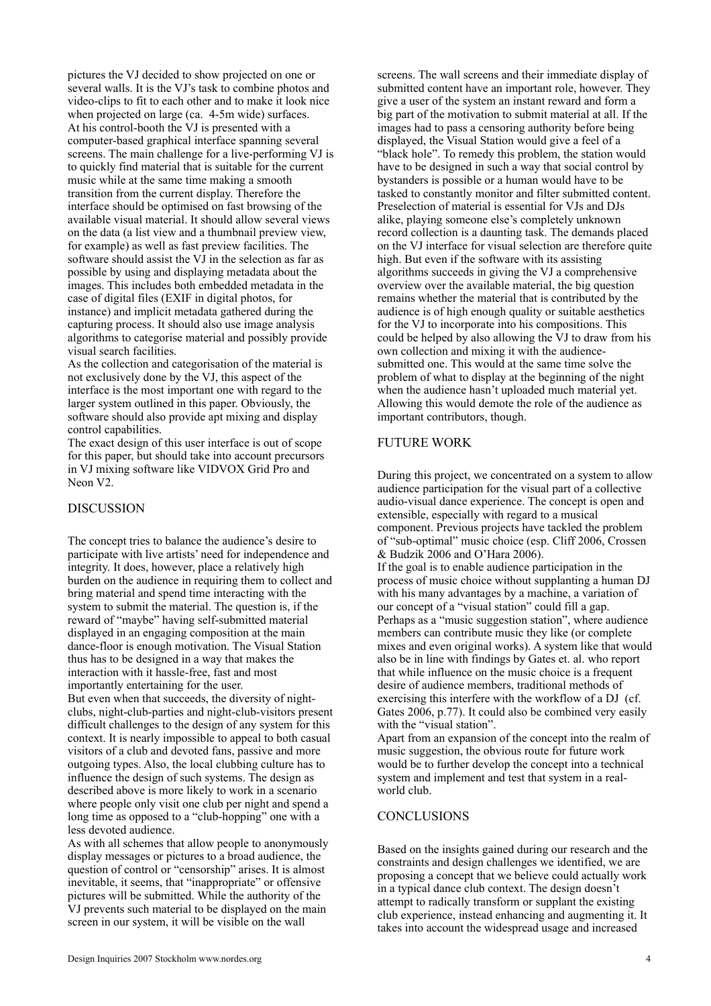pictures the VJ decided to show projected on one or several walls. It is the VJ's task to combine photos and video-clips to fit to each other and to make it look nice when projected on large (ca. 4-5m wide) surfaces. At his control-booth the VJ is presented with a computer-based graphical interface spanning several screens. The main challenge for a live-performing VJ is to quickly find material that is suitable for the current music while at the same time making a smooth transition from the current display. Therefore the interface should be optimised on fast browsing of the available visual material. It should allow several views on the data (a list view and a thumbnail preview view, for example) as well as fast preview facilities. The software should assist the VJ in the selection as far as possible by using and displaying metadata about the images. This includes both embedded metadata in the case of digital files (EXIF in digital photos, for instance) and implicit metadata gathered during the capturing process. It should also use image analysis algorithms to categorise material and possibly provide visual search facilities.

As the collection and categorisation of the material is not exclusively done by the VJ, this aspect of the interface is the most important one with regard to the larger system outlined in this paper. Obviously, the software should also provide apt mixing and display control capabilities.

The exact design of this user interface is out of scope for this paper, but should take into account precursors in VJ mixing software like VIDVOX Grid Pro and Neon V2.

# DISCUSSION

The concept tries to balance the audience's desire to participate with live artists' need for independence and integrity. It does, however, place a relatively high burden on the audience in requiring them to collect and bring material and spend time interacting with the system to submit the material. The question is, if the reward of "maybe" having self-submitted material displayed in an engaging composition at the main dance-floor is enough motivation. The Visual Station thus has to be designed in a way that makes the interaction with it hassle-free, fast and most importantly entertaining for the user. But even when that succeeds, the diversity of nightclubs, night-club-parties and night-club-visitors present difficult challenges to the design of any system for this context. It is nearly impossible to appeal to both casual visitors of a club and devoted fans, passive and more outgoing types. Also, the local clubbing culture has to influence the design of such systems. The design as described above is more likely to work in a scenario where people only visit one club per night and spend a long time as opposed to a "club-hopping" one with a less devoted audience.

As with all schemes that allow people to anonymously display messages or pictures to a broad audience, the question of control or "censorship" arises. It is almost inevitable, it seems, that "inappropriate" or offensive pictures will be submitted. While the authority of the VJ prevents such material to be displayed on the main screen in our system, it will be visible on the wall

screens. The wall screens and their immediate display of submitted content have an important role, however. They give a user of the system an instant reward and form a big part of the motivation to submit material at all. If the images had to pass a censoring authority before being displayed, the Visual Station would give a feel of a "black hole". To remedy this problem, the station would have to be designed in such a way that social control by bystanders is possible or a human would have to be tasked to constantly monitor and filter submitted content. Preselection of material is essential for VJs and DJs alike, playing someone else's completely unknown record collection is a daunting task. The demands placed on the VJ interface for visual selection are therefore quite high. But even if the software with its assisting algorithms succeeds in giving the VJ a comprehensive overview over the available material, the big question remains whether the material that is contributed by the audience is of high enough quality or suitable aesthetics for the VJ to incorporate into his compositions. This could be helped by also allowing the VJ to draw from his own collection and mixing it with the audiencesubmitted one. This would at the same time solve the problem of what to display at the beginning of the night when the audience hasn't uploaded much material yet. Allowing this would demote the role of the audience as important contributors, though.

## FUTURE WORK

During this project, we concentrated on a system to allow audience participation for the visual part of a collective audio-visual dance experience. The concept is open and extensible, especially with regard to a musical component. Previous projects have tackled the problem of "sub-optimal" music choice (esp. Cliff 2006, Crossen & Budzik 2006 and O'Hara 2006).

If the goal is to enable audience participation in the process of music choice without supplanting a human DJ with his many advantages by a machine, a variation of our concept of a "visual station" could fill a gap. Perhaps as a "music suggestion station", where audience members can contribute music they like (or complete mixes and even original works). A system like that would also be in line with findings by Gates et. al. who report that while influence on the music choice is a frequent desire of audience members, traditional methods of exercising this interfere with the workflow of a DJ (cf. Gates 2006, p.77). It could also be combined very easily with the "visual station".

Apart from an expansion of the concept into the realm of music suggestion, the obvious route for future work would be to further develop the concept into a technical system and implement and test that system in a realworld club.

# **CONCLUSIONS**

Based on the insights gained during our research and the constraints and design challenges we identified, we are proposing a concept that we believe could actually work in a typical dance club context. The design doesn't attempt to radically transform or supplant the existing club experience, instead enhancing and augmenting it. It takes into account the widespread usage and increased